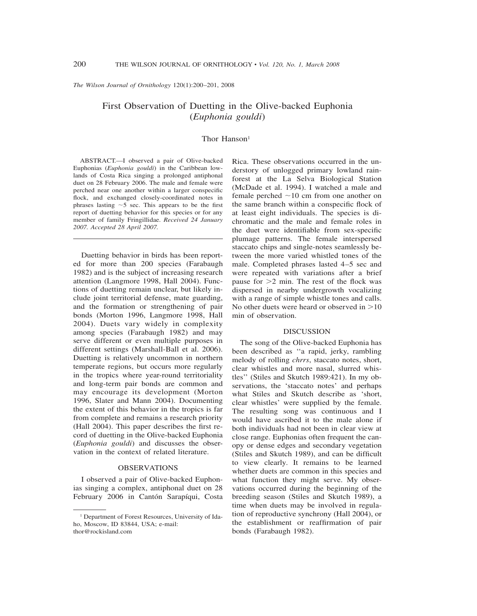*The Wilson Journal of Ornithology* 120(1):200–201, 2008

# First Observation of Duetting in the Olive-backed Euphonia (*Euphonia gouldi*)

### Thor Hanson<sup>1</sup>

ABSTRACT.—I observed a pair of Olive-backed Euphonias (*Euphonia gouldi*) in the Caribbean lowlands of Costa Rica singing a prolonged antiphonal duet on 28 February 2006. The male and female were perched near one another within a larger conspecific flock, and exchanged closely-coordinated notes in phrases lasting  $\sim$  5 sec. This appears to be the first report of duetting behavior for this species or for any member of family Fringillidae. *Received 24 January 2007. Accepted 28 April 2007.*

Duetting behavior in birds has been reported for more than 200 species (Farabaugh 1982) and is the subject of increasing research attention (Langmore 1998, Hall 2004). Functions of duetting remain unclear, but likely include joint territorial defense, mate guarding, and the formation or strengthening of pair bonds (Morton 1996, Langmore 1998, Hall 2004). Duets vary widely in complexity among species (Farabaugh 1982) and may serve different or even multiple purposes in different settings (Marshall-Ball et al. 2006). Duetting is relatively uncommon in northern temperate regions, but occurs more regularly in the tropics where year-round territoriality and long-term pair bonds are common and may encourage its development (Morton 1996, Slater and Mann 2004). Documenting the extent of this behavior in the tropics is far from complete and remains a research priority (Hall 2004). This paper describes the first record of duetting in the Olive-backed Euphonia (*Euphonia gouldi*) and discusses the observation in the context of related literature.

## OBSERVATIONS

I observed a pair of Olive-backed Euphonias singing a complex, antiphonal duet on 28 February 2006 in Cantón Sarapíqui, Costa Rica. These observations occurred in the understory of unlogged primary lowland rainforest at the La Selva Biological Station (McDade et al. 1994). I watched a male and female perched  $\sim$ 10 cm from one another on the same branch within a conspecific flock of at least eight individuals. The species is dichromatic and the male and female roles in the duet were identifiable from sex-specific plumage patterns. The female interspersed staccato chips and single-notes seamlessly between the more varied whistled tones of the male. Completed phrases lasted 4–5 sec and were repeated with variations after a brief pause for  $>2$  min. The rest of the flock was dispersed in nearby undergrowth vocalizing with a range of simple whistle tones and calls. No other duets were heard or observed in  $>10$ min of observation.

#### DISCUSSION

The song of the Olive-backed Euphonia has been described as ''a rapid, jerky, rambling melody of rolling *chrrs*, staccato notes, short, clear whistles and more nasal, slurred whistles'' (Stiles and Skutch 1989:421). In my observations, the 'staccato notes' and perhaps what Stiles and Skutch describe as 'short, clear whistles' were supplied by the female. The resulting song was continuous and I would have ascribed it to the male alone if both individuals had not been in clear view at close range. Euphonias often frequent the canopy or dense edges and secondary vegetation (Stiles and Skutch 1989), and can be difficult to view clearly. It remains to be learned whether duets are common in this species and what function they might serve. My observations occurred during the beginning of the breeding season (Stiles and Skutch 1989), a time when duets may be involved in regulation of reproductive synchrony (Hall 2004), or the establishment or reaffirmation of pair bonds (Farabaugh 1982).

<sup>&</sup>lt;sup>1</sup> Department of Forest Resources, University of Idaho, Moscow, ID 83844, USA; e-mail: thor@rockisland.com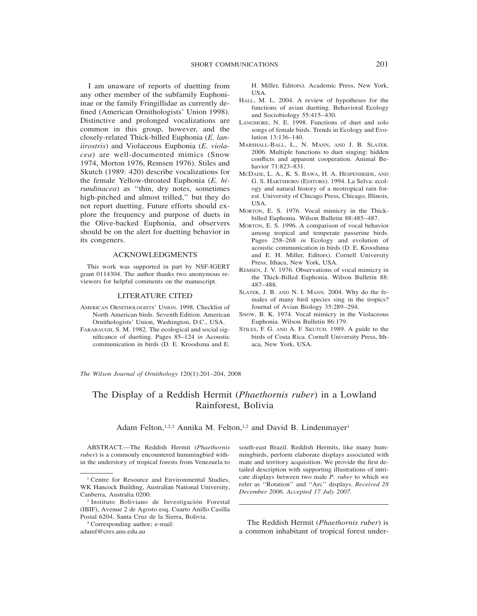I am unaware of reports of duetting from any other member of the subfamily Euphoniinae or the family Fringillidae as currently defined (American Ornithologists' Union 1998). Distinctive and prolonged vocalizations are common in this group, however, and the closely-related Thick-billed Euphonia (*E. laniirostris*) and Violaceous Euphonia (*E. violacea*) are well-documented mimics (Snow 1974, Morton 1976, Remsen 1976). Stiles and Skutch (1989: 420) describe vocalizations for the female Yellow-throated Euphonia (*E. hirundinacea*) as ''thin, dry notes, sometimes high-pitched and almost trilled,'' but they do not report duetting. Future efforts should explore the frequency and purpose of duets in the Olive-backed Euphonia, and observers should be on the alert for duetting behavior in its congeners.

#### ACKNOWLEDGMENTS

This work was supported in part by NSF-IGERT grant 0114304. The author thanks two anonymous reviewers for helpful comments on the manuscript.

## LITERATURE CITED

- AMERICAN ORNITHOLOGISTS' UNION. 1998. Checklist of North American birds. Seventh Edition. American Ornithologists' Union, Washington, D.C., USA.
- FARABAUGH, S. M. 1982. The ecological and social significance of duetting. Pages 85–124 *in* Acoustic communication in birds (D. E. Kroodsma and E.

H. Miller, Editors). Academic Press, New York, USA.

- HALL, M. L. 2004. A review of hypotheses for the functions of avian duetting. Behavioral Ecology and Sociobiology 55:415–430.
- LANGMORE, N. E. 1998. Functions of duet and solo songs of female birds. Trends in Ecology and Evolution 13:136–140.
- MARSHALL-BALL, L., N. MANN, AND J. B. SLATER. 2006. Multiple functions to duet singing: hidden conflicts and apparent cooperation. Animal Behavior 71:823–831.
- MCDADE, L. A., K. S. BAWA, H. A. HESPENHEIDE, AND G. S. HARTSHORN (EDITORS). 1994. La Selva: ecology and natural history of a neotropical rain forest. University of Chicago Press, Chicago, Illinois, USA.
- MORTON, E. S. 1976. Vocal mimicry in the Thickbilled Euphonia. Wilson Bulletin 88:485–487.
- MORTON, E. S. 1996. A comparison of vocal behavior among tropical and temperate passerine birds. Pages 258–268 *in* Ecology and evolution of acoustic communication in birds (D. E. Kroodsma and E. H. Miller, Editors). Cornell University Press, Ithaca, New York, USA.
- REMSEN, J. V. 1976. Observations of vocal mimicry in the Thick-Billed Euphonia. Wilson Bulletin 88: 487–488.
- SLATER, J. B. AND N. I. MANN. 2004. Why do the females of many bird species sing in the tropics? Journal of Avian Biology 35:289–294.
- SNOW, B. K. 1974. Vocal mimicry in the Violaceous Euphonia. Wilson Bulletin 86:179.
- STILES, F. G. AND A. F. SKUTCH. 1989. A guide to the birds of Costa Rica. Cornell University Press, Ithaca, New York, USA.

*The Wilson Journal of Ornithology* 120(1):201–204, 2008

# The Display of a Reddish Hermit (*Phaethornis ruber*) in a Lowland Rainforest, Bolivia

## Adam Felton,<sup>1,2,3</sup> Annika M. Felton,<sup>1,2</sup> and David B. Lindenmayer<sup>1</sup>

ABSTRACT.—The Reddish Hermit (*Phaethornis ruber*) is a commonly encountered hummingbird within the understory of tropical forests from Venezuela to south-east Brazil. Reddish Hermits, like many hummingbirds, perform elaborate displays associated with mate and territory acquisition. We provide the first detailed description with supporting illustrations of intricate displays between two male *P. ruber* to which we refer as ''Rotation'' and ''Arc'' displays. *Received 28 December 2006. Accepted 17 July 2007.*

The Reddish Hermit (*Phaethornis ruber*) is a common inhabitant of tropical forest under-

<sup>&</sup>lt;sup>1</sup> Centre for Resource and Environmental Studies, WK Hancock Building, Australian National University, Canberra, Australia 0200.

<sup>&</sup>lt;sup>2</sup> Instituto Boliviano de Investigación Forestal (IBIF), Avenue 2 de Agosto esq. Cuarto Anillo Casilla Postal 6204, Santa Cruz de la Sierra, Bolivia.

<sup>3</sup> Corresponding author; e-mail:

adamf@cres.anu.edu.au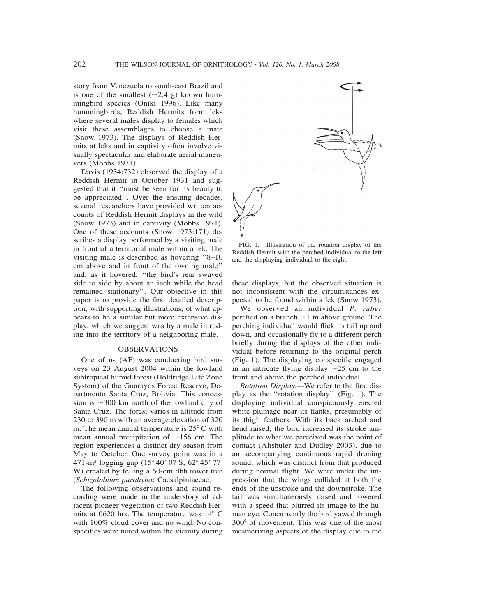story from Venezuela to south-east Brazil and is one of the smallest  $(\sim 2.4 \text{ g})$  known hummingbird species (Oniki 1996). Like many hummingbirds, Reddish Hermits form leks where several males display to females which visit these assemblages to choose a mate (Snow 1973). The displays of Reddish Hermits at leks and in captivity often involve visually spectacular and elaborate aerial maneuvers (Mobbs 1971).

Davis (1934:732) observed the display of a Reddish Hermit in October 1931 and suggested that it ''must be seen for its beauty to be appreciated''. Over the ensuing decades, several researchers have provided written accounts of Reddish Hermit displays in the wild (Snow 1973) and in captivity (Mobbs 1971). One of these accounts (Snow 1973:171) describes a display performed by a visiting male in front of a territorial male within a lek. The visiting male is described as hovering ''8–10 cm above and in front of the owning male'' and, as it hovered, ''the bird's rear swayed side to side by about an inch while the head remained stationary''. Our objective in this paper is to provide the first detailed description, with supporting illustrations, of what appears to be a similar but more extensive display, which we suggest was by a male intruding into the territory of a neighboring male.

## OBSERVATIONS

One of us (AF) was conducting bird surveys on 23 August 2004 within the lowland subtropical humid forest (Holdridge Life Zone System) of the Guarayos Forest Reserve, Departmento Santa Cruz, Bolivia. This concession is  $\sim$ 300 km north of the lowland city of Santa Cruz. The forest varies in altitude from 230 to 390 m with an average elevation of 320 m. The mean annual temperature is  $25^{\circ}$  C with mean annual precipitation of  $\sim$ 156 cm. The region experiences a distinct dry season from May to October. One survey point was in a 471-m<sup>2</sup> logging gap (15° 40' 07 S, 62° 45' 77 W) created by felling a 60-cm dbh tower tree (*Schizolobium parahyba*; Caesalpiniaceae).

The following observations and sound recording were made in the understory of adjacent pioneer vegetation of two Reddish Hermits at 0620 hrs. The temperature was  $14^{\circ}$  C with 100% cloud cover and no wind. No conspecifics were noted within the vicinity during



FIG. 1. Illustration of the rotation display of the Reddish Hermit with the perched individual to the left and the displaying individual to the right.

these displays, but the observed situation is not inconsistent with the circumstances expected to be found within a lek (Snow 1973).

We observed an individual *P. ruber* perched on a branch  $\sim$ 1 m above ground. The perching individual would flick its tail up and down, and occasionally fly to a different perch briefly during the displays of the other individual before returning to the original perch (Fig. 1). The displaying conspecific engaged in an intricate flying display  $\sim$ 25 cm to the front and above the perched individual.

*Rotation Display.—*We refer to the first display as the ''rotation display'' (Fig. 1). The displaying individual conspicuously erected white plumage near its flanks, presumably of its thigh feathers. With its back arched and head raised, the bird increased its stroke amplitude to what we perceived was the point of contact (Altshuler and Dudley 2003), due to an accompanying continuous rapid droning sound, which was distinct from that produced during normal flight. We were under the impression that the wings collided at both the ends of the upstroke and the downstroke. The tail was simultaneously raised and lowered with a speed that blurred its image to the human eye. Concurrently the bird yawed through 300° of movement. This was one of the most mesmerizing aspects of the display due to the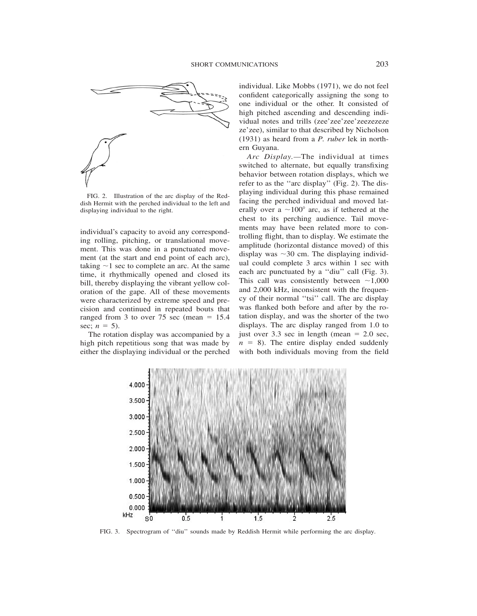

FIG. 2. Illustration of the arc display of the Reddish Hermit with the perched individual to the left and displaying individual to the right.

individual's capacity to avoid any corresponding rolling, pitching, or translational movement. This was done in a punctuated movement (at the start and end point of each arc), taking  $\sim$ 1 sec to complete an arc. At the same time, it rhythmically opened and closed its bill, thereby displaying the vibrant yellow coloration of the gape. All of these movements were characterized by extreme speed and precision and continued in repeated bouts that ranged from 3 to over 75 sec (mean  $= 15.4$ ) sec;  $n = 5$ ).

The rotation display was accompanied by a high pitch repetitious song that was made by either the displaying individual or the perched individual. Like Mobbs (1971), we do not feel confident categorically assigning the song to one individual or the other. It consisted of high pitched ascending and descending individual notes and trills (zee'zee'zee'zeezezeze ze'zee), similar to that described by Nicholson (1931) as heard from a *P. ruber* lek in northern Guyana.

*Arc Display.—*The individual at times switched to alternate, but equally transfixing behavior between rotation displays, which we refer to as the ''arc display'' (Fig. 2). The displaying individual during this phase remained facing the perched individual and moved laterally over a  $\sim$ 100 $^{\circ}$  arc, as if tethered at the chest to its perching audience. Tail movements may have been related more to controlling flight, than to display. We estimate the amplitude (horizontal distance moved) of this display was  $\sim$ 30 cm. The displaying individual could complete 3 arcs within 1 sec with each arc punctuated by a ''diu'' call (Fig. 3). This call was consistently between  $\sim$ 1,000 and 2,000 kHz, inconsistent with the frequency of their normal ''tsi'' call. The arc display was flanked both before and after by the rotation display, and was the shorter of the two displays. The arc display ranged from 1.0 to just over 3.3 sec in length (mean  $= 2.0$  sec,  $n = 8$ ). The entire display ended suddenly with both individuals moving from the field



FIG. 3. Spectrogram of ''diu'' sounds made by Reddish Hermit while performing the arc display.